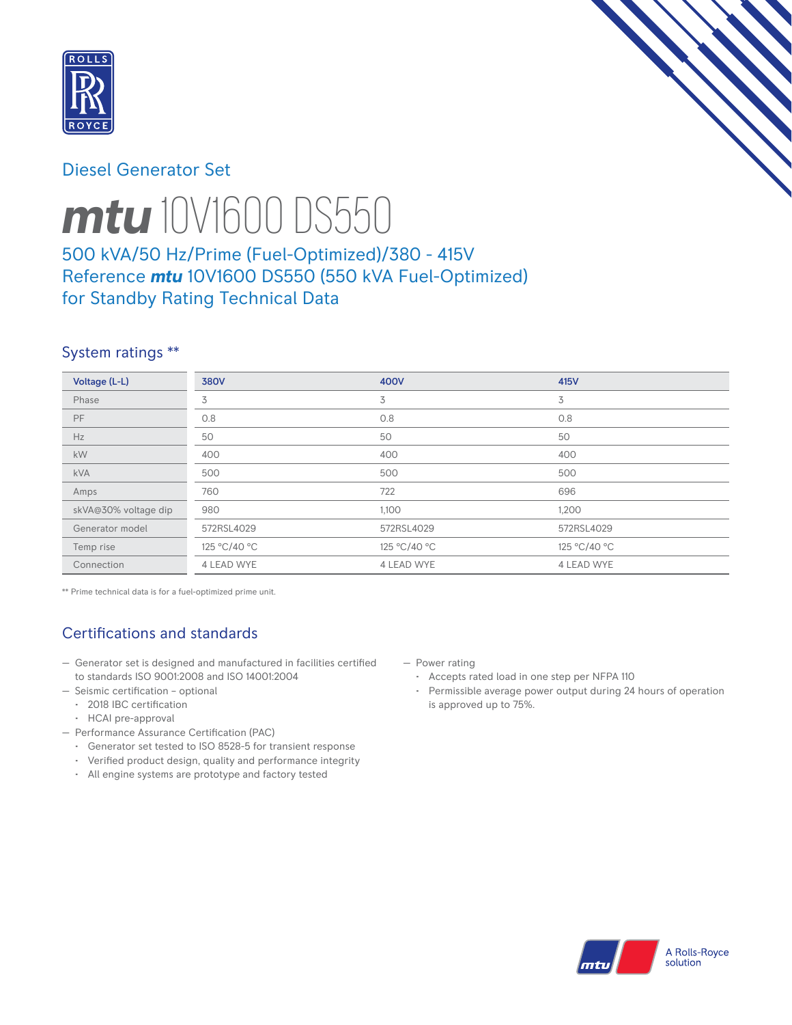

## Diesel Generator Set



# *mtu* 10V1600 DS550

500 kVA/50 Hz/Prime (Fuel-Optimized)/380 - 415V Reference *mtu* 10V1600 DS550 (550 kVA Fuel-Optimized) for Standby Rating Technical Data

## System ratings \*\*

| Voltage (L-L)        | <b>380V</b>       | 400V              | 415V         |
|----------------------|-------------------|-------------------|--------------|
| Phase                | 3                 | 3                 | 3            |
| PF.                  | 0.8               | 0.8               | 0.8          |
| Hz                   | 50                | 50                | 50           |
| kW                   | 400               | 400               | 400          |
| <b>kVA</b>           | 500               | 500               | 500          |
| Amps                 | 760               | 722               | 696          |
| skVA@30% voltage dip | 980               | 1,100             | 1,200        |
| Generator model      | 572RSL4029        | 572RSL4029        | 572RSL4029   |
| Temp rise            | 125 °C/40 °C      | 125 °C/40 °C      | 125 °C/40 °C |
| Connection           | <b>4 LEAD WYE</b> | <b>4 LEAD WYE</b> | 4 LEAD WYE   |

\*\* Prime technical data is for a fuel-optimized prime unit.

# Certifications and standards

- Generator set is designed and manufactured in facilities certified to standards ISO 9001:2008 and ISO 14001:2004
- Seismic certification optional
	- 2018 IBC certification
	- HCAI pre-approval
- Performance Assurance Certification (PAC)
	- Generator set tested to ISO 8528-5 for transient response
	- Verified product design, quality and performance integrity
	- All engine systems are prototype and factory tested
- Power rating
	- Accepts rated load in one step per NFPA 110
	- Permissible average power output during 24 hours of operation is approved up to 75%.

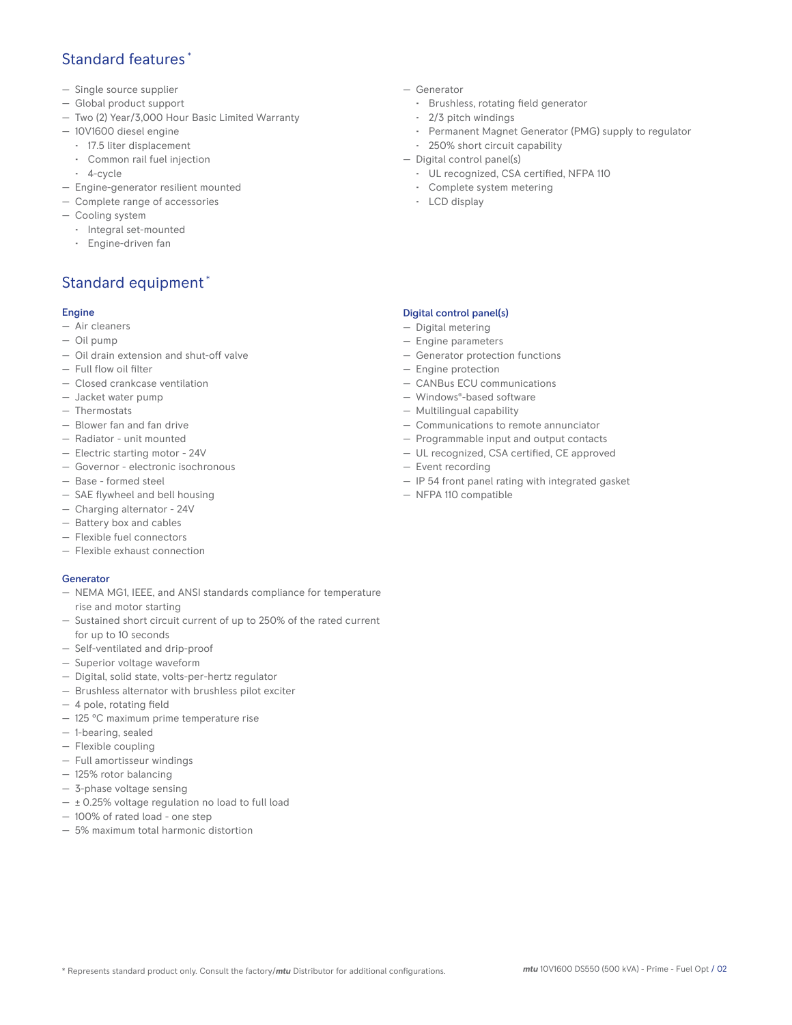## Standard features \*

- Single source supplier
- Global product support
- Two (2) Year/3,000 Hour Basic Limited Warranty
- 10V1600 diesel engine
	- 17.5 liter displacement
	- Common rail fuel injection
	- 4-cycle
- Engine-generator resilient mounted
- Complete range of accessories
- Cooling system
- Integral set-mounted
	- Engine-driven fan

# Standard equipment \*

#### Engine

- Air cleaners
- Oil pump
- Oil drain extension and shut-off valve
- Full flow oil filter
- Closed crankcase ventilation
- Jacket water pump
- Thermostats
- Blower fan and fan drive
- Radiator unit mounted
- Electric starting motor 24V
- Governor electronic isochronous
- Base formed steel
- SAE flywheel and bell housing
- Charging alternator 24V
- Battery box and cables
- Flexible fuel connectors
- Flexible exhaust connection

#### Generator

- NEMA MG1, IEEE, and ANSI standards compliance for temperature rise and motor starting
- Sustained short circuit current of up to 250% of the rated current for up to 10 seconds
- Self-ventilated and drip-proof
- Superior voltage waveform
- Digital, solid state, volts-per-hertz regulator
- Brushless alternator with brushless pilot exciter
- 4 pole, rotating field
- 125 °C maximum prime temperature rise
- 1-bearing, sealed
- Flexible coupling
- Full amortisseur windings
- 125% rotor balancing
- 3-phase voltage sensing
- $\pm$  0.25% voltage regulation no load to full load
- 100% of rated load one step
- 5% maximum total harmonic distortion
- Generator
	- Brushless, rotating field generator
	- 2/3 pitch windings
	- Permanent Magnet Generator (PMG) supply to regulator
- 250% short circuit capability
- Digital control panel(s)
	- UL recognized, CSA certified, NFPA 110
	- Complete system metering
	- LCD display

#### Digital control panel(s)

- Digital metering
- Engine parameters
- Generator protection functions
- Engine protection
- CANBus ECU communications
- Windows®-based software
- Multilingual capability
- Communications to remote annunciator
- Programmable input and output contacts
- UL recognized, CSA certified, CE approved
- Event recording
- IP 54 front panel rating with integrated gasket
- NFPA 110 compatible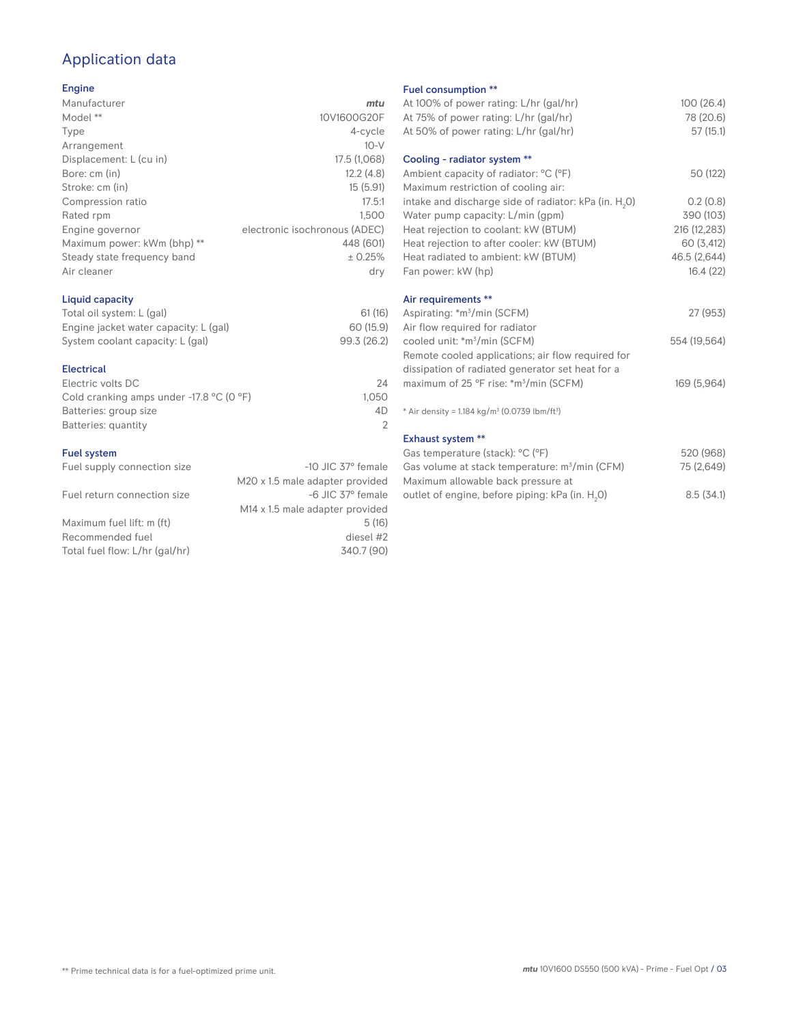# Application data

#### Engine

| mtu                           |
|-------------------------------|
| 10V1600G20F                   |
| 4-cycle                       |
| $10-V$                        |
| 17.5 (1,068)                  |
| 12.2(4.8)                     |
| 15(5.91)                      |
| 17.5:1                        |
| 1.500                         |
| electronic isochronous (ADEC) |
| 448 (601)                     |
| ± 0.25%                       |
| dry                           |
|                               |

#### Liquid capacity

| Total oil system: L (gal)             | 61(16)      |
|---------------------------------------|-------------|
| Engine jacket water capacity: L (gal) | 60 (15.9)   |
| System coolant capacity: L (gal)      | 99.3 (26.2) |

#### Electrical

| 24    |
|-------|
| 1.050 |
| 4D.   |
|       |
|       |

#### Fuel system

| Fuel supply connection size    | $-10$ JIC 37 $\degree$ female               |
|--------------------------------|---------------------------------------------|
|                                | M20 x 1.5 male adapter provided             |
| Fuel return connection size    | -6 JIC 37° female                           |
|                                | M <sub>14</sub> x 1.5 male adapter provided |
| Maximum fuel lift: m (ft)      | 5(16)                                       |
| Recommended fuel               | diesel #2                                   |
| Total fuel flow: L/hr (gal/hr) | 340.7 (90)                                  |
|                                |                                             |

#### Fuel consumption \*\*

| r det consumption                                                     |              |
|-----------------------------------------------------------------------|--------------|
| At 100% of power rating: L/hr (gal/hr)                                | 100(26.4)    |
| At 75% of power rating: L/hr (gal/hr)                                 | 78 (20.6)    |
| At 50% of power rating: L/hr (gal/hr)                                 | 57(15.1)     |
|                                                                       |              |
| Cooling - radiator system **                                          |              |
| Ambient capacity of radiator: °C (°F)                                 | 50 (122)     |
| Maximum restriction of cooling air:                                   |              |
| intake and discharge side of radiator: kPa (in. H <sub>2</sub> 0)     | 0.2(0.8)     |
| Water pump capacity: L/min (gpm)                                      | 390 (103)    |
| Heat rejection to coolant: kW (BTUM)                                  | 216 (12,283) |
| Heat rejection to after cooler: kW (BTUM)                             | 60 (3,412)   |
| Heat radiated to ambient: kW (BTUM)                                   | 46.5 (2,644) |
| Fan power: kW (hp)                                                    | 16.4(22)     |
|                                                                       |              |
| Air requirements **                                                   |              |
| Aspirating: *m <sup>3</sup> /min (SCFM)                               | 27 (953)     |
| Air flow required for radiator                                        |              |
| cooled unit: *m <sup>3</sup> /min (SCFM)                              | 554 (19,564) |
| Remote cooled applications; air flow required for                     |              |
| dissipation of radiated generator set heat for a                      |              |
| maximum of 25 °F rise: *m <sup>3</sup> /min (SCFM)                    | 169 (5,964)  |
|                                                                       |              |
| * Air density = 1.184 kg/m <sup>3</sup> (0.0739 lbm/ft <sup>3</sup> ) |              |
|                                                                       |              |
| <b>Exhaust system **</b>                                              |              |
| Gas temperature (stack): °C (°F)                                      | 520 (968)    |
| Gas volume at stack temperature: m <sup>3</sup> /min (CFM)            | 75 (2,649)   |
|                                                                       |              |

|                                                             | $-0 - 0 - 0 - 0 - 0$ |
|-------------------------------------------------------------|----------------------|
| Gas volume at stack temperature: m <sup>3</sup> /min (CFM)  | 75 (2,649)           |
| Maximum allowable back pressure at                          |                      |
| outlet of engine, before piping: kPa (in. H <sub>2</sub> 0) | 8.5(34.1)            |